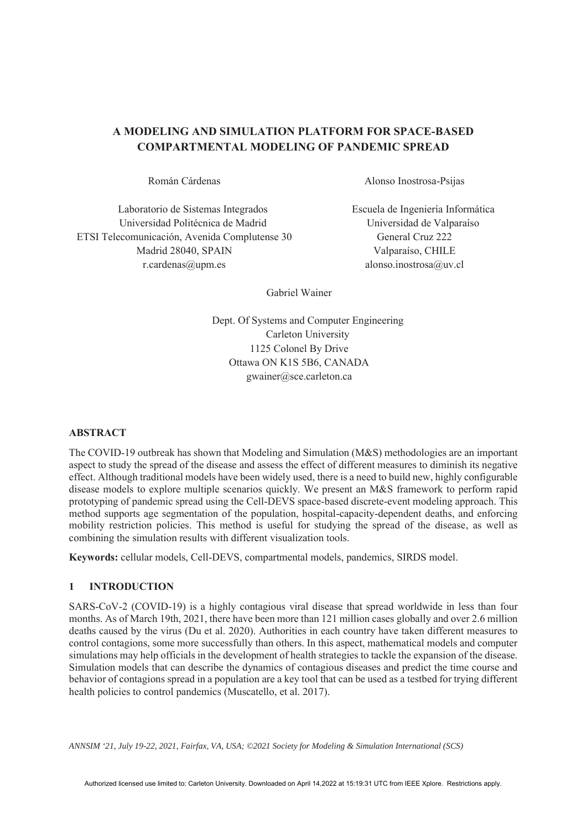# **A MODELING AND SIMULATION PLATFORM FOR SPACE-BASED COMPARTMENTAL MODELING OF PANDEMIC SPREAD**

Laboratorio de Sistemas Integrados Universidad Politécnica de Madrid ETSI Telecomunicación, Avenida Complutense 30 Madrid 28040, SPAIN r.cardenas@upm.es alonso.inostrosa@uv.cl

Román Cárdenas Alonso Inostrosa-Psijas

Escuela de Ingeniería Informática Universidad de Valparaíso General Cruz 222 Valparaíso, CHILE

Gabriel Wainer

Dept. Of Systems and Computer Engineering Carleton University 1125 Colonel By Drive Ottawa ON K1S 5B6, CANADA gwainer@sce.carleton.ca

## **ABSTRACT**

The COVID-19 outbreak has shown that Modeling and Simulation (M&S) methodologies are an important aspect to study the spread of the disease and assess the effect of different measures to diminish its negative effect. Although traditional models have been widely used, there is a need to build new, highly configurable disease models to explore multiple scenarios quickly. We present an M&S framework to perform rapid prototyping of pandemic spread using the Cell-DEVS space-based discrete-event modeling approach. This method supports age segmentation of the population, hospital-capacity-dependent deaths, and enforcing mobility restriction policies. This method is useful for studying the spread of the disease, as well as combining the simulation results with different visualization tools.

**Keywords:** cellular models, Cell-DEVS, compartmental models, pandemics, SIRDS model.

## **1 INTRODUCTION**

SARS-CoV-2 (COVID-19) is a highly contagious viral disease that spread worldwide in less than four months. As of March 19th, 2021, there have been more than 121 million cases globally and over 2.6 million deaths caused by the virus (Du et al. 2020). Authorities in each country have taken different measures to control contagions, some more successfully than others. In this aspect, mathematical models and computer simulations may help officials in the development of health strategies to tackle the expansion of the disease. Simulation models that can describe the dynamics of contagious diseases and predict the time course and behavior of contagions spread in a population are a key tool that can be used as a testbed for trying different health policies to control pandemics (Muscatello, et al. 2017).

*ANNSIM '21, July 19-22, 2021, Fairfax, VA, USA; ©2021 Society for Modeling & Simulation International (SCS)*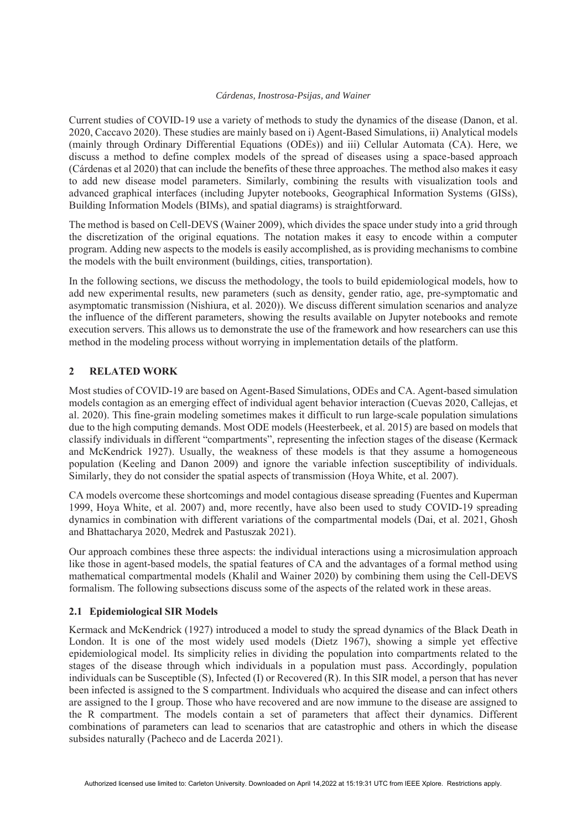Current studies of COVID-19 use a variety of methods to study the dynamics of the disease (Danon, et al. 2020, Caccavo 2020). These studies are mainly based on i) Agent-Based Simulations, ii) Analytical models (mainly through Ordinary Differential Equations (ODEs)) and iii) Cellular Automata (CA). Here, we discuss a method to define complex models of the spread of diseases using a space-based approach (Cárdenas et al 2020) that can include the benefits of these three approaches. The method also makes it easy to add new disease model parameters. Similarly, combining the results with visualization tools and advanced graphical interfaces (including Jupyter notebooks, Geographical Information Systems (GISs), Building Information Models (BIMs), and spatial diagrams) is straightforward.

The method is based on Cell-DEVS (Wainer 2009), which divides the space under study into a grid through the discretization of the original equations. The notation makes it easy to encode within a computer program. Adding new aspects to the models is easily accomplished, as is providing mechanisms to combine the models with the built environment (buildings, cities, transportation).

In the following sections, we discuss the methodology, the tools to build epidemiological models, how to add new experimental results, new parameters (such as density, gender ratio, age, pre-symptomatic and asymptomatic transmission (Nishiura, et al. 2020)). We discuss different simulation scenarios and analyze the influence of the different parameters, showing the results available on Jupyter notebooks and remote execution servers. This allows us to demonstrate the use of the framework and how researchers can use this method in the modeling process without worrying in implementation details of the platform.

## **2 RELATED WORK**

Most studies of COVID-19 are based on Agent-Based Simulations, ODEs and CA. Agent-based simulation models contagion as an emerging effect of individual agent behavior interaction (Cuevas 2020, Callejas, et al. 2020). This fine-grain modeling sometimes makes it difficult to run large-scale population simulations due to the high computing demands. Most ODE models (Heesterbeek, et al. 2015) are based on models that classify individuals in different "compartments", representing the infection stages of the disease (Kermack and McKendrick 1927). Usually, the weakness of these models is that they assume a homogeneous population (Keeling and Danon 2009) and ignore the variable infection susceptibility of individuals. Similarly, they do not consider the spatial aspects of transmission (Hoya White, et al. 2007).

CA models overcome these shortcomings and model contagious disease spreading (Fuentes and Kuperman 1999, Hoya White, et al. 2007) and, more recently, have also been used to study COVID-19 spreading dynamics in combination with different variations of the compartmental models (Dai, et al. 2021, Ghosh and Bhattacharya 2020, Medrek and Pastuszak 2021).

Our approach combines these three aspects: the individual interactions using a microsimulation approach like those in agent-based models, the spatial features of CA and the advantages of a formal method using mathematical compartmental models (Khalil and Wainer 2020) by combining them using the Cell-DEVS formalism. The following subsections discuss some of the aspects of the related work in these areas.

## **2.1 Epidemiological SIR Models**

Kermack and McKendrick (1927) introduced a model to study the spread dynamics of the Black Death in London. It is one of the most widely used models (Dietz 1967), showing a simple yet effective epidemiological model. Its simplicity relies in dividing the population into compartments related to the stages of the disease through which individuals in a population must pass. Accordingly, population individuals can be Susceptible (S), Infected (I) or Recovered (R). In this SIR model, a person that has never been infected is assigned to the S compartment. Individuals who acquired the disease and can infect others are assigned to the I group. Those who have recovered and are now immune to the disease are assigned to the R compartment. The models contain a set of parameters that affect their dynamics. Different combinations of parameters can lead to scenarios that are catastrophic and others in which the disease subsides naturally (Pacheco and de Lacerda 2021).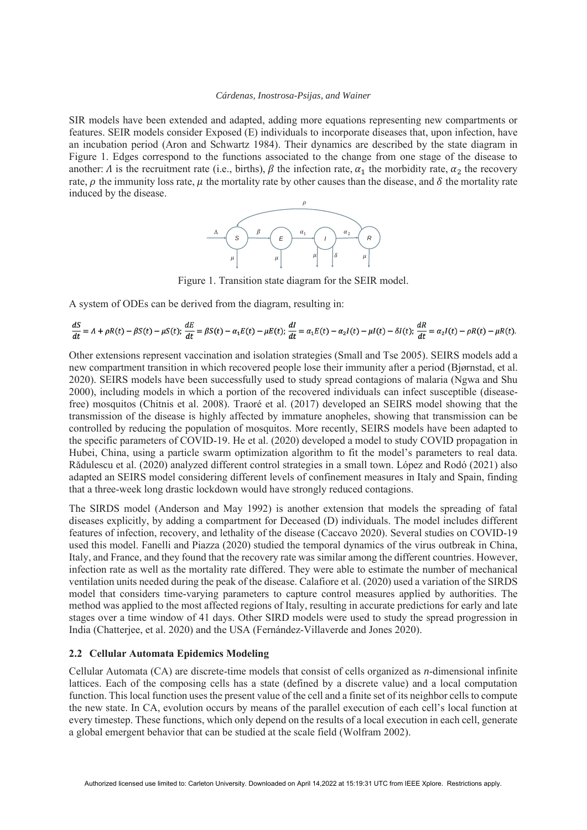SIR models have been extended and adapted, adding more equations representing new compartments or features. SEIR models consider Exposed (E) individuals to incorporate diseases that, upon infection, have an incubation period (Aron and Schwartz 1984). Their dynamics are described by the state diagram in Figure 1. Edges correspond to the functions associated to the change from one stage of the disease to another:  $\Lambda$  is the recruitment rate (i.e., births),  $\beta$  the infection rate,  $\alpha_1$  the morbidity rate,  $\alpha_2$  the recovery rate,  $\rho$  the immunity loss rate,  $\mu$  the mortality rate by other causes than the disease, and  $\delta$  the mortality rate induced by the disease.



Figure 1. Transition state diagram for the SEIR model.

A system of ODEs can be derived from the diagram, resulting in:

$$
\frac{dS}{dt} = \Lambda + \rho R(t) - \beta S(t) - \mu S(t); \quad \frac{dE}{dt} = \beta S(t) - \alpha_1 E(t) - \mu E(t); \quad \frac{dI}{dt} = \alpha_1 E(t) - \alpha_2 I(t) - \mu I(t) - \delta I(t); \quad \frac{dR}{dt} = \alpha_2 I(t) - \rho R(t) - \mu R(t).
$$

Other extensions represent vaccination and isolation strategies (Small and Tse 2005). SEIRS models add a new compartment transition in which recovered people lose their immunity after a period (Bjørnstad, et al. 2020). SEIRS models have been successfully used to study spread contagions of malaria (Ngwa and Shu 2000), including models in which a portion of the recovered individuals can infect susceptible (diseasefree) mosquitos (Chitnis et al. 2008). Traoré et al. (2017) developed an SEIRS model showing that the transmission of the disease is highly affected by immature anopheles, showing that transmission can be controlled by reducing the population of mosquitos. More recently, SEIRS models have been adapted to the specific parameters of COVID-19. He et al. (2020) developed a model to study COVID propagation in Hubei, China, using a particle swarm optimization algorithm to fit the model's parameters to real data. Rǎdulescu et al. (2020) analyzed different control strategies in a small town. López and Rodó (2021) also adapted an SEIRS model considering different levels of confinement measures in Italy and Spain, finding that a three-week long drastic lockdown would have strongly reduced contagions.

The SIRDS model (Anderson and May 1992) is another extension that models the spreading of fatal diseases explicitly, by adding a compartment for Deceased (D) individuals. The model includes different features of infection, recovery, and lethality of the disease (Caccavo 2020). Several studies on COVID-19 used this model. Fanelli and Piazza (2020) studied the temporal dynamics of the virus outbreak in China, Italy, and France, and they found that the recovery rate was similar among the different countries. However, infection rate as well as the mortality rate differed. They were able to estimate the number of mechanical ventilation units needed during the peak of the disease. Calafiore et al. (2020) used a variation of the SIRDS model that considers time-varying parameters to capture control measures applied by authorities. The method was applied to the most affected regions of Italy, resulting in accurate predictions for early and late stages over a time window of 41 days. Other SIRD models were used to study the spread progression in India (Chatterjee, et al. 2020) and the USA (Fernández-Villaverde and Jones 2020).

### **2.2 Cellular Automata Epidemics Modeling**

Cellular Automata (CA) are discrete-time models that consist of cells organized as *n*-dimensional infinite lattices. Each of the composing cells has a state (defined by a discrete value) and a local computation function. This local function uses the present value of the cell and a finite set of its neighbor cells to compute the new state. In CA, evolution occurs by means of the parallel execution of each cell's local function at every timestep. These functions, which only depend on the results of a local execution in each cell, generate a global emergent behavior that can be studied at the scale field (Wolfram 2002).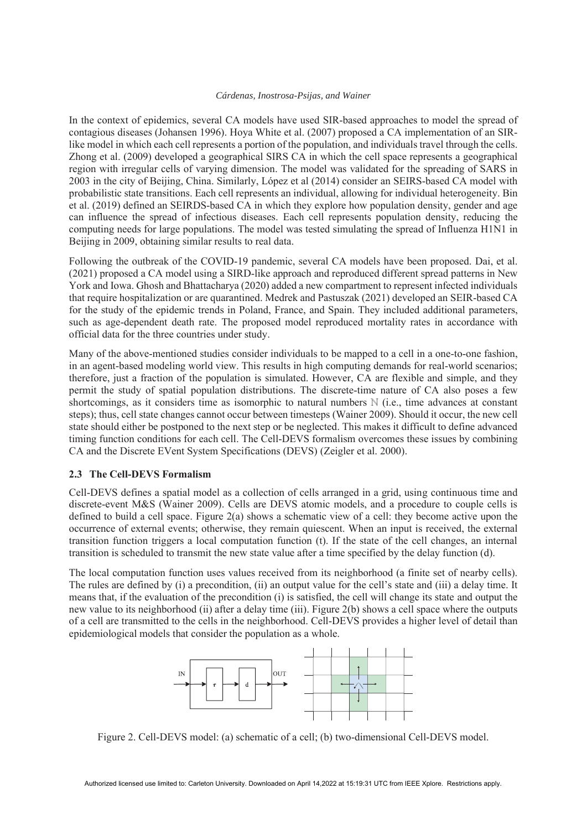In the context of epidemics, several CA models have used SIR-based approaches to model the spread of contagious diseases (Johansen 1996). Hoya White et al. (2007) proposed a CA implementation of an SIRlike model in which each cell represents a portion of the population, and individuals travel through the cells. Zhong et al. (2009) developed a geographical SIRS CA in which the cell space represents a geographical region with irregular cells of varying dimension. The model was validated for the spreading of SARS in 2003 in the city of Beijing, China. Similarly, López et al (2014) consider an SEIRS-based CA model with probabilistic state transitions. Each cell represents an individual, allowing for individual heterogeneity. Bin et al. (2019) defined an SEIRDS-based CA in which they explore how population density, gender and age can influence the spread of infectious diseases. Each cell represents population density, reducing the computing needs for large populations. The model was tested simulating the spread of Influenza H1N1 in Beijing in 2009, obtaining similar results to real data.

Following the outbreak of the COVID-19 pandemic, several CA models have been proposed. Dai, et al. (2021) proposed a CA model using a SIRD-like approach and reproduced different spread patterns in New York and Iowa. Ghosh and Bhattacharya (2020) added a new compartment to represent infected individuals that require hospitalization or are quarantined. Medrek and Pastuszak (2021) developed an SEIR-based CA for the study of the epidemic trends in Poland, France, and Spain. They included additional parameters, such as age-dependent death rate. The proposed model reproduced mortality rates in accordance with official data for the three countries under study.

Many of the above-mentioned studies consider individuals to be mapped to a cell in a one-to-one fashion, in an agent-based modeling world view. This results in high computing demands for real-world scenarios; therefore, just a fraction of the population is simulated. However, CA are flexible and simple, and they permit the study of spatial population distributions. The discrete-time nature of CA also poses a few shortcomings, as it considers time as isomorphic to natural numbers ℕ (i.e., time advances at constant steps); thus, cell state changes cannot occur between timesteps (Wainer 2009). Should it occur, the new cell state should either be postponed to the next step or be neglected. This makes it difficult to define advanced timing function conditions for each cell. The Cell-DEVS formalism overcomes these issues by combining CA and the Discrete EVent System Specifications (DEVS) (Zeigler et al. 2000).

## **2.3 The Cell-DEVS Formalism**

Cell-DEVS defines a spatial model as a collection of cells arranged in a grid, using continuous time and discrete-event M&S (Wainer 2009). Cells are DEVS atomic models, and a procedure to couple cells is defined to build a cell space. Figure 2(a) shows a schematic view of a cell: they become active upon the occurrence of external events; otherwise, they remain quiescent. When an input is received, the external transition function triggers a local computation function (t). If the state of the cell changes, an internal transition is scheduled to transmit the new state value after a time specified by the delay function (d).

The local computation function uses values received from its neighborhood (a finite set of nearby cells). The rules are defined by (i) a precondition, (ii) an output value for the cell's state and (iii) a delay time. It means that, if the evaluation of the precondition (i) is satisfied, the cell will change its state and output the new value to its neighborhood (ii) after a delay time (iii). Figure 2(b) shows a cell space where the outputs of a cell are transmitted to the cells in the neighborhood. Cell-DEVS provides a higher level of detail than epidemiological models that consider the population as a whole.



Figure 2. Cell-DEVS model: (a) schematic of a cell; (b) two-dimensional Cell-DEVS model.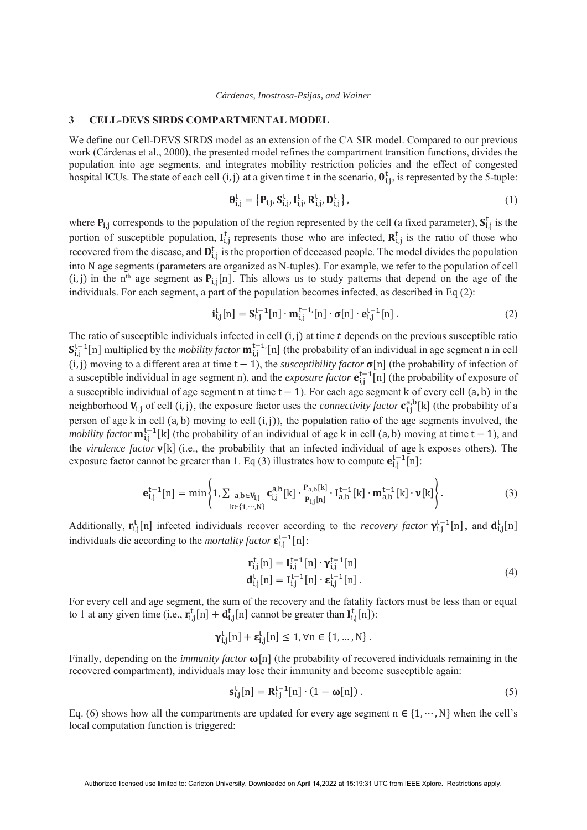#### **3 CELL-DEVS SIRDS COMPARTMENTAL MODEL**

We define our Cell-DEVS SIRDS model as an extension of the CA SIR model. Compared to our previous work (Cárdenas et al., 2000), the presented model refines the compartment transition functions, divides the population into age segments, and integrates mobility restriction policies and the effect of congested hospital ICUs. The state of each cell  $(i, j)$  at a given time t in the scenario,  $\theta_{i,j}^t$ , is represented by the 5-tuple:

$$
\mathbf{\theta}_{i,j}^t = \left\{ \mathbf{P}_{i,j}, \mathbf{S}_{i,j}^t, \mathbf{I}_{i,j}^t, \mathbf{R}_{i,j}^t, \mathbf{D}_{i,j}^t \right\},\tag{1}
$$

where  $P_{i,j}$  corresponds to the population of the region represented by the cell (a fixed parameter),  $S_{i,j}^t$  is the portion of susceptible population,  $I_{i,j}^t$  represents those who are infected,  $R_{i,j}^t$  is the ratio of those who recovered from the disease, and  $D_{i,j}^t$  is the proportion of deceased people. The model divides the population into N age segments (parameters are organized as N-tuples). For example, we refer to the population of cell (i, j) in the n<sup>th</sup> age segment as  $P_{i,j}[n]$ . This allows us to study patterns that depend on the age of the individuals. For each segment, a part of the population becomes infected, as described in Eq (2):

$$
\mathbf{i}_{i,j}^t[n] = \mathbf{S}_{i,j}^{t-1}[n] \cdot \mathbf{m}_{i,j}^{t-1}[n] \cdot \sigma[n] \cdot \mathbf{e}_{i,j}^{t-1}[n]. \tag{2}
$$

The ratio of susceptible individuals infected in cell  $(i, j)$  at time  $t$  depends on the previous susceptible ratio  $S_{i,j}^{t-1}[n]$  multiplied by the *mobility factor*  $m_{i,j}^{t-1}[n]$  (the probability of an individual in age segment n in cell (i, j) moving to a different area at time  $t - 1$ ), the *susceptibility factor*  $\sigma[n]$  (the probability of infection of a susceptible individual in age segment n), and the *exposure factor*  $\mathbf{e}_{i,j}^{t-1}[n]$  (the probability of exposure of a susceptible individual of age segment n at time  $t - 1$ ). For each age segment k of every cell  $(a, b)$  in the neighborhood  $V_{i,j}$  of cell (i, j), the exposure factor uses the *connectivity factor*  $c_{i,j}^{a,b}[k]$  (the probability of a person of age  $k$  in cell  $(a, b)$  moving to cell  $(i, j)$ , the population ratio of the age segments involved, the *mobility factor*  $\mathbf{m}_{i,j}^{t-1}[k]$  (the probability of an individual of age k in cell (a, b) moving at time  $t-1$ ), and the *virulence factor*  $v[k]$  (i.e., the probability that an infected individual of age k exposes others). The exposure factor cannot be greater than 1. Eq (3) illustrates how to compute  $e_{i,j}^{t-1}[n]$ :

$$
\mathbf{e}_{i,j}^{t-1}[n] = \min\left\{1, \sum_{k \in \{1, \cdots, N\}} \mathbf{c}_{i,j}^{a,b}[k] \cdot \frac{\mathbf{P}_{a,b}[k]}{\mathbf{P}_{i,j}[n]} \cdot \mathbf{I}_{a,b}^{t-1}[k] \cdot \mathbf{m}_{a,b}^{t-1}[k] \cdot \mathbf{v}[k] \right\}.
$$
 (3)

Additionally,  $\mathbf{r}_{i,j}^{\text{t}}[n]$  infected individuals recover according to the *recovery factor*  $\mathbf{\gamma}_{i,j}^{\text{t-1}}[n]$ , and  $\mathbf{d}_{i,j}^{\text{t}}[n]$ individuals die according to the *mortality factor*  $\epsilon_{i,j}^{t-1}[n]$ :

$$
\mathbf{r}_{i,j}^{t}[n] = \mathbf{I}_{i,j}^{t-1}[n] \cdot \mathbf{\gamma}_{i,j}^{t-1}[n]
$$
\n
$$
\mathbf{d}_{i,j}^{t}[n] = \mathbf{I}_{i,j}^{t-1}[n] \cdot \mathbf{\varepsilon}_{i,j}^{t-1}[n].
$$
\n(4)

For every cell and age segment, the sum of the recovery and the fatality factors must be less than or equal to 1 at any given time (i.e.,  $\mathbf{r}_{i,j}^t[n] + \mathbf{d}_{i,j}^t[n]$  cannot be greater than  $\mathbf{I}_{i,j}^t[n]$ ):

$$
\boldsymbol{\gamma}_{i,j}^t[n] + \boldsymbol{\epsilon}_{i,j}^t[n] \leq 1, \forall n \in \{1, ..., N\}.
$$

Finally, depending on the *immunity factor*  $\omega[n]$  (the probability of recovered individuals remaining in the recovered compartment), individuals may lose their immunity and become susceptible again:

$$
\mathbf{s}_{i,j}^t[n] = \mathbf{R}_{i,j}^{t-1}[n] \cdot (1 - \omega[n]). \tag{5}
$$

Eq. (6) shows how all the compartments are updated for every age segment  $n \in \{1, \dots, N\}$  when the cell's local computation function is triggered: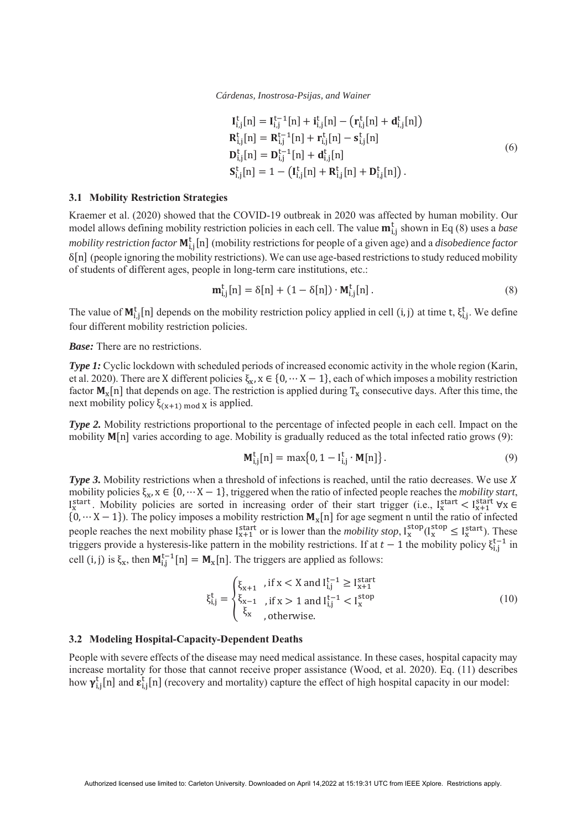$$
\mathbf{I}_{i,j}^{t}[n] = \mathbf{I}_{i,j}^{t-1}[n] + \mathbf{i}_{i,j}^{t}[n] - (\mathbf{r}_{i,j}^{t}[n] + \mathbf{d}_{i,j}^{t}[n])
$$
\n
$$
\mathbf{R}_{i,j}^{t}[n] = \mathbf{R}_{i,j}^{t-1}[n] + \mathbf{r}_{i,j}^{t}[n] - \mathbf{s}_{i,j}^{t}[n]
$$
\n
$$
\mathbf{D}_{i,j}^{t}[n] = \mathbf{D}_{i,j}^{t-1}[n] + \mathbf{d}_{i,j}^{t}[n]
$$
\n
$$
\mathbf{S}_{i,j}^{t}[n] = 1 - (\mathbf{I}_{i,j}^{t}[n] + \mathbf{R}_{i,j}^{t}[n] + \mathbf{D}_{i,j}^{t}[n]).
$$
\n(6)

#### **3.1 Mobility Restriction Strategies**

Kraemer et al. (2020) showed that the COVID-19 outbreak in 2020 was affected by human mobility. Our model allows defining mobility restriction policies in each cell. The value  $m_{i,j}^t$  shown in Eq (8) uses a *base* mobility restriction factor  $M^t_{i,j}[n]$  (mobility restrictions for people of a given age) and a *disobedience factor*  $\delta$ [n] (people ignoring the mobility restrictions). We can use age-based restrictions to study reduced mobility of students of different ages, people in long-term care institutions, etc.:

$$
\mathbf{m}_{i,j}^t[n] = \delta[n] + (1 - \delta[n]) \cdot \mathbf{M}_{i,j}^t[n]. \tag{8}
$$

The value of  $M_{i,j}^t[n]$  depends on the mobility restriction policy applied in cell (i, j) at time t,  $\xi_{i,j}^t$ . We define four different mobility restriction policies.

*Base:* There are no restrictions.

*Type 1:* Cyclic lockdown with scheduled periods of increased economic activity in the whole region (Karin, et al. 2020). There are X different policies  $\xi_x$ ,  $x \in \{0, \dots X - 1\}$ , each of which imposes a mobility restriction factor  $M_x[n]$  that depends on age. The restriction is applied during  $T_x$  consecutive days. After this time, the next mobility policy  $\xi_{(x+1) \bmod X}$  is applied.

*Type 2.* Mobility restrictions proportional to the percentage of infected people in each cell. Impact on the mobility  $M[n]$  varies according to age. Mobility is gradually reduced as the total infected ratio grows (9):

$$
\mathbf{M}_{i,j}^t[n] = \max\{0, 1 - I_{i,j}^t \cdot \mathbf{M}[n]\}.
$$
\n(9)

*Type 3.* Mobility restrictions when a threshold of infections is reached, until the ratio decreases. We use X mobility policies  $\xi_x$ ,  $x \in \{0, \dots X - 1\}$ , triggered when the ratio of infected people reaches the *mobility start*, Istart. Mobility policies are sorted in increasing order of their start trigger (i.e., Istart  $\forall x \in \mathbb{R}$   $X \in \mathbb{R}$  ${N_\mathbf{x}}[n]$  for age segment n until the ratio of infected  ${N_\mathbf{x}}[n]$  for age segment n until the ratio of infected people reaches the next mobility phase  $I_{x+1}^{start}$  or is lower than the *mobility stop*,  $I_x^{stop}(I_x^{stop} \leq I_x^{start})$ . These triggers provide a hysteresis-like pattern in the mobility restrictions. If at  $t-1$  the mobility policy  $\xi_{i,j}^{t-1}$  in cell (i, j) is  $\xi_x$ , then  $M_{i,j}^{t-1}[n] = M_x[n]$ . The triggers are applied as follows:

$$
\xi_{i,j}^{t} = \begin{cases} \xi_{x+1} & , \text{if } x < X \text{ and } I_{i,j}^{t-1} \ge I_{x+1}^{\text{start}} \\ \xi_{x-1} & , \text{if } x > 1 \text{ and } I_{i,j}^{t-1} < I_{x}^{\text{stop}} \\ \xi_{x} & , \text{otherwise.} \end{cases} \tag{10}
$$

#### **3.2 Modeling Hospital-Capacity-Dependent Deaths**

People with severe effects of the disease may need medical assistance. In these cases, hospital capacity may increase mortality for those that cannot receive proper assistance (Wood, et al. 2020). Eq. (11) describes how  $\gamma_{i,j}^t[n]$  and  $\epsilon_{i,j}^t[n]$  (recovery and mortality) capture the effect of high hospital capacity in our model: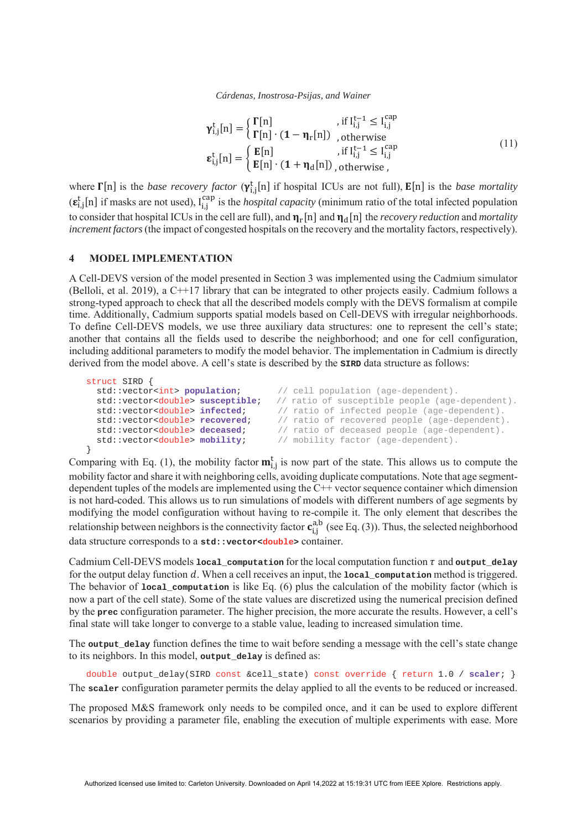$$
\gamma_{i,j}^{t}[n] = \begin{cases} \Gamma[n] & , \text{if } I_{i,j}^{t-1} \leq I_{i,j}^{\text{cap}} \\ \Gamma[n] \cdot (\mathbf{1} - \eta_r[n]) & , \text{otherwise} \end{cases}
$$
\n
$$
\epsilon_{i,j}^{t}[n] = \begin{cases} \mathbf{E}[n] & , \text{if } I_{i,j}^{t-1} \leq I_{i,j}^{\text{cap}} \\ \mathbf{E}[n] \cdot (\mathbf{1} + \eta_d[n]) & , \text{otherwise} \end{cases}
$$
\n(11)

where  $\Gamma[n]$  is the *base recovery factor*  $(\gamma_{i,j}^t[n]$  if hospital ICUs are not full),  $E[n]$  is the *base mortality*  $(\epsilon_{i,j}^t[n]$  if masks are not used),  $I_{i,j}^{cap}$  is the *hospital capacity* (minimum ratio of the total infected population to consider that hospital ICUs in the cell are full), and  $\eta_r[n]$  and  $\eta_d[n]$  the *recovery reduction* and *mortality increment factors* (the impact of congested hospitals on the recovery and the mortality factors, respectively).

### **4 MODEL IMPLEMENTATION**

A Cell-DEVS version of the model presented in Section 3 was implemented using the Cadmium simulator (Belloli, et al. 2019), a C++17 library that can be integrated to other projects easily. Cadmium follows a strong-typed approach to check that all the described models comply with the DEVS formalism at compile time. Additionally, Cadmium supports spatial models based on Cell-DEVS with irregular neighborhoods. To define Cell-DEVS models, we use three auxiliary data structures: one to represent the cell's state; another that contains all the fields used to describe the neighborhood; and one for cell configuration, including additional parameters to modify the model behavior. The implementation in Cadmium is directly derived from the model above. A cell's state is described by the **SIRD** data structure as follows:

```
struct SIRD {<br>std::vector<int> population;
                                           // cell population (age-dependent).
  std::vector<double> susceptible; // ratio of susceptible people (age-dependent).<br>std::vector<double> infected; // ratio of infected people (age-dependent).
                                          // ratio of infected people (age-dependent).
   std::vector<double> recovered; // ratio of recovered people (age-dependent).
   std::vector<double> deceased; // ratio of deceased people (age-dependent).
   std::vector<double> mobility; // mobility factor (age-dependent).
}
```
Comparing with Eq. (1), the mobility factor  $\mathbf{m}_{i,j}^t$  is now part of the state. This allows us to compute the mobility factor and share it with neighboring cells, avoiding duplicate computations. Note that age segmentdependent tuples of the models are implemented using the C++ vector sequence container which dimension is not hard-coded. This allows us to run simulations of models with different numbers of age segments by modifying the model configuration without having to re-compile it. The only element that describes the relationship between neighbors is the connectivity factor  $c_{i,j}^{a,b}$  (see Eq. (3)). Thus, the selected neighborhood data structure corresponds to a **std::vector<double>** container.

Cadmium Cell-DEVS models  $\text{local\_computation}$  for the local computation function  $\tau$  and  $\text{output\_delay}$ for the output delay function d. When a cell receives an input, the **local\_computation** method is triggered. The behavior of **local\_computation** is like Eq. (6) plus the calculation of the mobility factor (which is now a part of the cell state). Some of the state values are discretized using the numerical precision defined by the **prec** configuration parameter. The higher precision, the more accurate the results. However, a cell's final state will take longer to converge to a stable value, leading to increased simulation time.

The **output** delay function defines the time to wait before sending a message with the cell's state change to its neighbors. In this model, **output\_delay** is defined as:

double output\_delay(SIRD const &cell\_state) const override { return 1.0 / **scaler**; } The **scaler** configuration parameter permits the delay applied to all the events to be reduced or increased.

The proposed M&S framework only needs to be compiled once, and it can be used to explore different scenarios by providing a parameter file, enabling the execution of multiple experiments with ease. More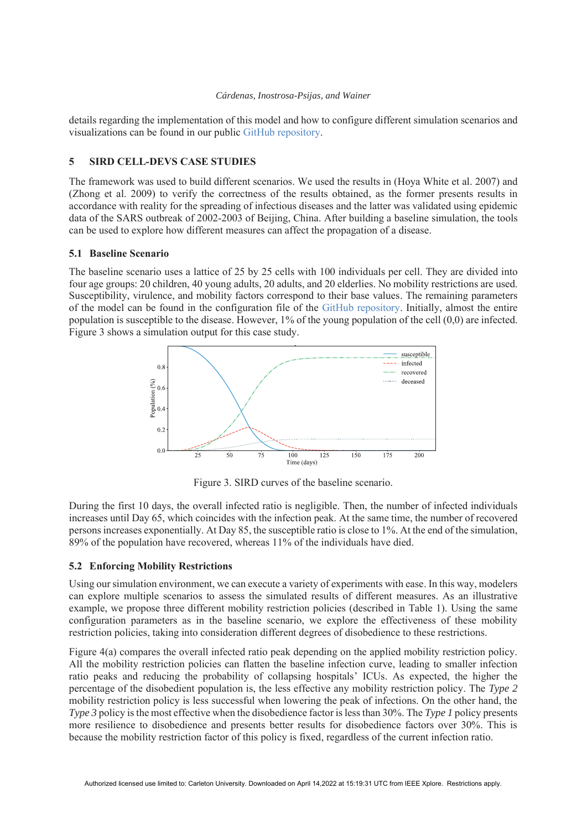details regarding the implementation of this model and how to configure different simulation scenarios and visualizations can be found in our public GitHub repository.

## **5 SIRD CELL-DEVS CASE STUDIES**

The framework was used to build different scenarios. We used the results in (Hoya White et al. 2007) and (Zhong et al. 2009) to verify the correctness of the results obtained, as the former presents results in accordance with reality for the spreading of infectious diseases and the latter was validated using epidemic data of the SARS outbreak of 2002-2003 of Beijing, China. After building a baseline simulation, the tools can be used to explore how different measures can affect the propagation of a disease.

## **5.1 Baseline Scenario**

The baseline scenario uses a lattice of 25 by 25 cells with 100 individuals per cell. They are divided into four age groups: 20 children, 40 young adults, 20 adults, and 20 elderlies. No mobility restrictions are used. Susceptibility, virulence, and mobility factors correspond to their base values. The remaining parameters of the model can be found in the configuration file of the GitHub repository. Initially, almost the entire population is susceptible to the disease. However, 1% of the young population of the cell (0,0) are infected. Figure 3 shows a simulation output for this case study.



Figure 3. SIRD curves of the baseline scenario.

During the first 10 days, the overall infected ratio is negligible. Then, the number of infected individuals increases until Day 65, which coincides with the infection peak. At the same time, the number of recovered persons increases exponentially. At Day 85, the susceptible ratio is close to 1%. At the end of the simulation, 89% of the population have recovered, whereas 11% of the individuals have died.

## **5.2 Enforcing Mobility Restrictions**

Using our simulation environment, we can execute a variety of experiments with ease. In this way, modelers can explore multiple scenarios to assess the simulated results of different measures. As an illustrative example, we propose three different mobility restriction policies (described in Table 1). Using the same configuration parameters as in the baseline scenario, we explore the effectiveness of these mobility restriction policies, taking into consideration different degrees of disobedience to these restrictions.

Figure 4(a) compares the overall infected ratio peak depending on the applied mobility restriction policy. All the mobility restriction policies can flatten the baseline infection curve, leading to smaller infection ratio peaks and reducing the probability of collapsing hospitals' ICUs. As expected, the higher the percentage of the disobedient population is, the less effective any mobility restriction policy. The *Type 2* mobility restriction policy is less successful when lowering the peak of infections. On the other hand, the *Type 3* policy is the most effective when the disobedience factor is less than 30%. The *Type 1* policy presents more resilience to disobedience and presents better results for disobedience factors over 30%. This is because the mobility restriction factor of this policy is fixed, regardless of the current infection ratio.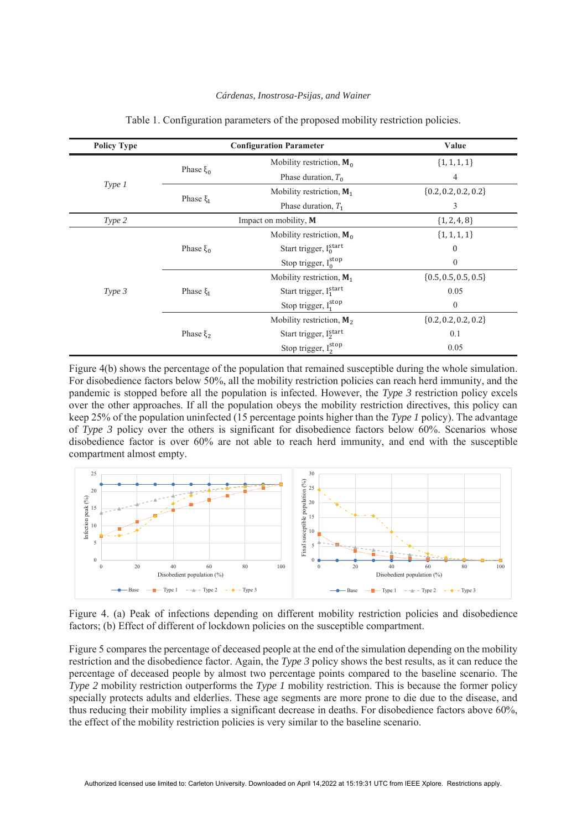| <b>Policy Type</b> | <b>Configuration Parameter</b> |                                     | Value                    |
|--------------------|--------------------------------|-------------------------------------|--------------------------|
|                    | Phase $ξ0$                     | Mobility restriction, $M_0$         | $\{1, 1, 1, 1\}$         |
|                    |                                | Phase duration, $T_0$               | 4                        |
| Type 1             | Phase $\xi_1$                  | Mobility restriction, $M_1$         | $\{0.2, 0.2, 0.2, 0.2\}$ |
|                    |                                | Phase duration, $T_1$               | 3                        |
| Type 2             | Impact on mobility, M          |                                     | $\{1, 2, 4, 8\}$         |
|                    | Phase $ξ_0$                    | Mobility restriction, $M_0$         | ${1, 1, 1, 1}$           |
|                    |                                | Start trigger, $I_0^{\text{start}}$ | $\boldsymbol{0}$         |
|                    |                                | Stop trigger, $I_0^{stop}$          | $\overline{0}$           |
|                    | Phase $\xi_1$                  | Mobility restriction, $M_1$         | $\{0.5, 0.5, 0.5, 0.5\}$ |
| Type 3             |                                | Start trigger, Istart               | 0.05                     |
|                    |                                | Stop trigger, $I_1^{\text{stop}}$   | $\overline{0}$           |
|                    | Phase ξ <sub>2</sub>           | Mobility restriction, $M_2$         | $\{0.2, 0.2, 0.2, 0.2\}$ |
|                    |                                | Start trigger, $I_2^{\text{start}}$ | 0.1                      |
|                    |                                | Stop trigger, I <sub>2</sub> stop   | 0.05                     |

#### Table 1. Configuration parameters of the proposed mobility restriction policies.

Figure 4(b) shows the percentage of the population that remained susceptible during the whole simulation. For disobedience factors below 50%, all the mobility restriction policies can reach herd immunity, and the pandemic is stopped before all the population is infected. However, the *Type 3* restriction policy excels over the other approaches. If all the population obeys the mobility restriction directives, this policy can keep 25% of the population uninfected (15 percentage points higher than the *Type 1* policy). The advantage of *Type 3* policy over the others is significant for disobedience factors below 60%. Scenarios whose disobedience factor is over 60% are not able to reach herd immunity, and end with the susceptible compartment almost empty.



Figure 4. (a) Peak of infections depending on different mobility restriction policies and disobedience factors; (b) Effect of different of lockdown policies on the susceptible compartment.

Figure 5 compares the percentage of deceased people at the end of the simulation depending on the mobility restriction and the disobedience factor. Again, the *Type 3* policy shows the best results, as it can reduce the percentage of deceased people by almost two percentage points compared to the baseline scenario. The *Type 2* mobility restriction outperforms the *Type 1* mobility restriction. This is because the former policy specially protects adults and elderlies. These age segments are more prone to die due to the disease, and thus reducing their mobility implies a significant decrease in deaths. For disobedience factors above 60%, the effect of the mobility restriction policies is very similar to the baseline scenario.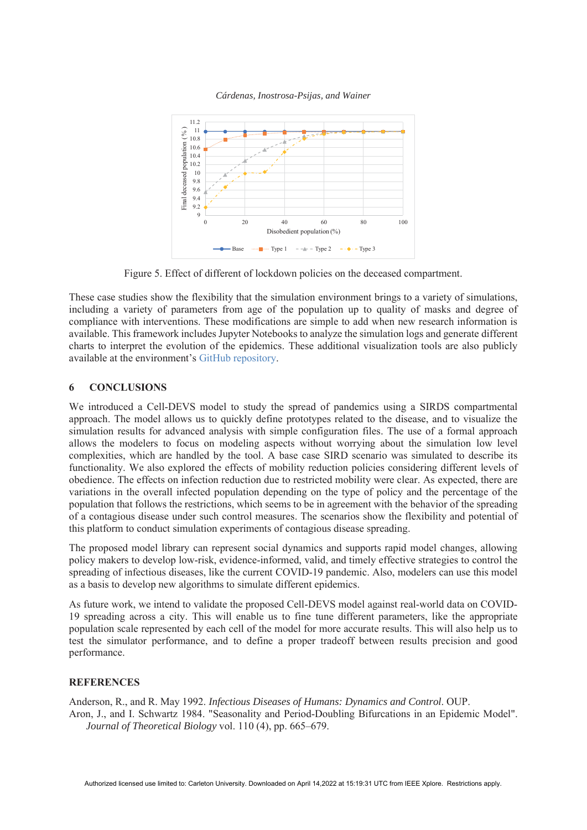



Figure 5. Effect of different of lockdown policies on the deceased compartment.

These case studies show the flexibility that the simulation environment brings to a variety of simulations, including a variety of parameters from age of the population up to quality of masks and degree of compliance with interventions. These modifications are simple to add when new research information is available. This framework includes Jupyter Notebooks to analyze the simulation logs and generate different charts to interpret the evolution of the epidemics. These additional visualization tools are also publicly available at the environment's GitHub repository.

### **6 CONCLUSIONS**

We introduced a Cell-DEVS model to study the spread of pandemics using a SIRDS compartmental approach. The model allows us to quickly define prototypes related to the disease, and to visualize the simulation results for advanced analysis with simple configuration files. The use of a formal approach allows the modelers to focus on modeling aspects without worrying about the simulation low level complexities, which are handled by the tool. A base case SIRD scenario was simulated to describe its functionality. We also explored the effects of mobility reduction policies considering different levels of obedience. The effects on infection reduction due to restricted mobility were clear. As expected, there are variations in the overall infected population depending on the type of policy and the percentage of the population that follows the restrictions, which seems to be in agreement with the behavior of the spreading of a contagious disease under such control measures. The scenarios show the flexibility and potential of this platform to conduct simulation experiments of contagious disease spreading.

The proposed model library can represent social dynamics and supports rapid model changes, allowing policy makers to develop low-risk, evidence-informed, valid, and timely effective strategies to control the spreading of infectious diseases, like the current COVID-19 pandemic. Also, modelers can use this model as a basis to develop new algorithms to simulate different epidemics.

As future work, we intend to validate the proposed Cell-DEVS model against real-world data on COVID-19 spreading across a city. This will enable us to fine tune different parameters, like the appropriate population scale represented by each cell of the model for more accurate results. This will also help us to test the simulator performance, and to define a proper tradeoff between results precision and good performance.

### **REFERENCES**

Anderson, R., and R. May 1992. *Infectious Diseases of Humans: Dynamics and Control*. OUP. Aron, J., and I. Schwartz 1984. "Seasonality and Period-Doubling Bifurcations in an Epidemic Model". *Journal of Theoretical Biology* vol. 110 (4), pp. 665–679.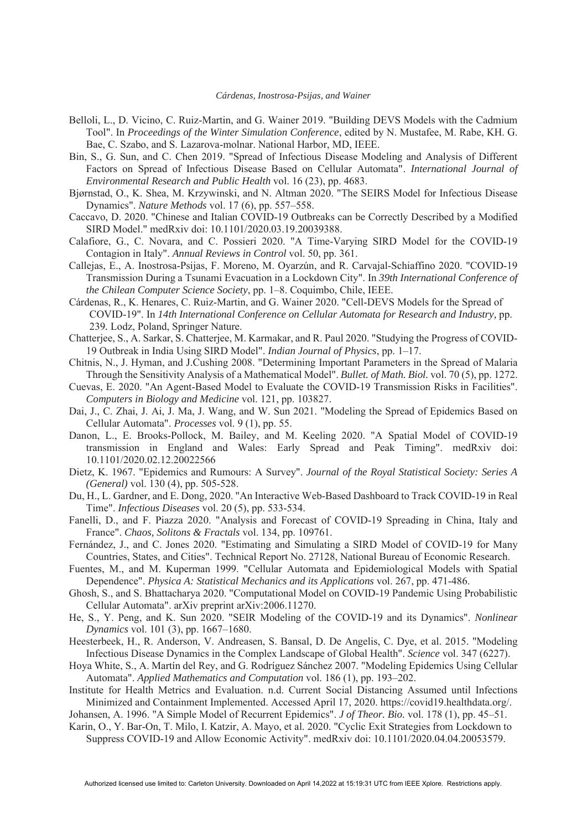- Belloli, L., D. Vicino, C. Ruiz-Martin, and G. Wainer 2019. "Building DEVS Models with the Cadmium Tool". In *Proceedings of the Winter Simulation Conference*, edited by N. Mustafee, M. Rabe, KH. G. Bae, C. Szabo, and S. Lazarova-molnar. National Harbor, MD, IEEE.
- Bin, S., G. Sun, and C. Chen 2019. "Spread of Infectious Disease Modeling and Analysis of Different Factors on Spread of Infectious Disease Based on Cellular Automata". *International Journal of Environmental Research and Public Health* vol. 16 (23), pp. 4683.
- Bjørnstad, O., K. Shea, M. Krzywinski, and N. Altman 2020. "The SEIRS Model for Infectious Disease Dynamics". *Nature Methods* vol. 17 (6), pp. 557–558.
- Caccavo, D. 2020. "Chinese and Italian COVID-19 Outbreaks can be Correctly Described by a Modified SIRD Model." medRxiv doi: 10.1101/2020.03.19.20039388.
- Calafiore, G., C. Novara, and C. Possieri 2020. "A Time-Varying SIRD Model for the COVID-19 Contagion in Italy". *Annual Reviews in Control* vol. 50, pp. 361.
- Callejas, E., A. Inostrosa-Psijas, F. Moreno, M. Oyarzún, and R. Carvajal-Schiaffino 2020. "COVID-19 Transmission During a Tsunami Evacuation in a Lockdown City". In *39th International Conference of the Chilean Computer Science Society*, pp. 1–8. Coquimbo, Chile, IEEE.
- Cárdenas, R., K. Henares, C. Ruiz-Martin, and G. Wainer 2020. "Cell-DEVS Models for the Spread of COVID-19". In 14th International Conference on Cellular Automata for Research and Industry, pp. 239*.* Lodz, Poland, Springer Nature.
- Chatterjee, S., A. Sarkar, S. Chatterjee, M. Karmakar, and R. Paul 2020. "Studying the Progress of COVID-19 Outbreak in India Using SIRD Model". *Indian Journal of Physics*, pp. 1–17.
- Chitnis, N., J. Hyman, and J.Cushing 2008. "Determining Important Parameters in the Spread of Malaria Through the Sensitivity Analysis of a Mathematical Model". *Bullet. of Math. Biol.* vol. 70 (5), pp. 1272.
- Cuevas, E. 2020. "An Agent-Based Model to Evaluate the COVID-19 Transmission Risks in Facilities". *Computers in Biology and Medicine* vol. 121, pp. 103827.
- Dai, J., C. Zhai, J. Ai, J. Ma, J. Wang, and W. Sun 2021. "Modeling the Spread of Epidemics Based on Cellular Automata". *Processes* vol. 9 (1), pp. 55.
- Danon, L., E. Brooks-Pollock, M. Bailey, and M. Keeling 2020. "A Spatial Model of COVID-19 transmission in England and Wales: Early Spread and Peak Timing". medRxiv doi: 10.1101/2020.02.12.20022566
- Dietz, K. 1967. "Epidemics and Rumours: A Survey". *Journal of the Royal Statistical Society: Series A (General)* vol. 130 (4), pp. 505-528.
- Du, H., L. Gardner, and E. Dong, 2020. "An Interactive Web-Based Dashboard to Track COVID-19 in Real Time". *Infectious Diseases* vol. 20 (5), pp. 533-534.
- Fanelli, D., and F. Piazza 2020. "Analysis and Forecast of COVID-19 Spreading in China, Italy and France". *Chaos, Solitons & Fractals* vol. 134, pp. 109761.
- Fernández, J., and C. Jones 2020. "Estimating and Simulating a SIRD Model of COVID-19 for Many Countries, States, and Cities". Technical Report No. 27128, National Bureau of Economic Research.
- Fuentes, M., and M. Kuperman 1999. "Cellular Automata and Epidemiological Models with Spatial Dependence". *Physica A: Statistical Mechanics and its Applications* vol. 267, pp. 471-486.
- Ghosh, S., and S. Bhattacharya 2020. "Computational Model on COVID-19 Pandemic Using Probabilistic Cellular Automata". arXiv preprint arXiv:2006.11270.
- He, S., Y. Peng, and K. Sun 2020. "SEIR Modeling of the COVID-19 and its Dynamics". *Nonlinear Dynamics* vol. 101 (3), pp. 1667–1680.
- Heesterbeek, H., R. Anderson, V. Andreasen, S. Bansal, D. De Angelis, C. Dye, et al. 2015. "Modeling Infectious Disease Dynamics in the Complex Landscape of Global Health". *Science* vol. 347 (6227).
- Hoya White, S., A. Martín del Rey, and G. Rodríguez Sánchez 2007. "Modeling Epidemics Using Cellular Automata". *Applied Mathematics and Computation* vol. 186 (1), pp. 193–202.
- Institute for Health Metrics and Evaluation. n.d. Current Social Distancing Assumed until Infections Minimized and Containment Implemented. Accessed April 17, 2020. https://covid19.healthdata.org/.
- Johansen, A. 1996. "A Simple Model of Recurrent Epidemics". *J of Theor. Bio.* vol. 178 (1), pp. 45–51.
- Karin, O., Y. Bar-On, T. Milo, I. Katzir, A. Mayo, et al. 2020. "Cyclic Exit Strategies from Lockdown to Suppress COVID-19 and Allow Economic Activity". medRxiv doi: 10.1101/2020.04.04.20053579.